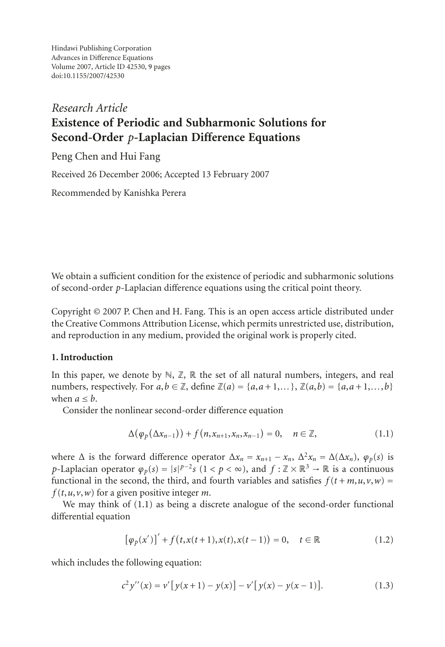Hindawi Publishing Corporation Advances in Difference Equations Volume 2007, Article ID 42530, [9](#page-8-0) pages doi:10.1155/2007/42530

# *Research Article* **Existence of Periodic and Subharmonic Solutions for Second-Order** *p***-Laplacian Difference Equations**

Peng Chen and Hui Fang

Received 26 December 2006; Accepted 13 February 2007

Recommended by Kanishka Perera

We obtain a sufficient condition for the existence of periodic and subharmonic solutions of second-order *p*-Laplacian difference equations using the critical point theory.

Copyright © 2007 P. Chen and H. Fang. This is an open access article distributed under the Creative Commons Attribution License, which permits unrestricted use, distribution, and reproduction in any medium, provided the original work is properly cited.

## **1. Introduction**

In this paper, we denote by  $\mathbb{N}, \mathbb{Z}, \mathbb{R}$  the set of all natural numbers, integers, and real numbers, respectively. For  $a, b \in \mathbb{Z}$ , define  $\mathbb{Z}(a) = \{a, a+1, \ldots\}$ ,  $\mathbb{Z}(a, b) = \{a, a+1, \ldots, b\}$ when  $a \leq b$ .

Consider the nonlinear second-order difference equation

<span id="page-0-0"></span>
$$
\Delta(\varphi_p(\Delta x_{n-1}))+f(n,x_{n+1},x_n,x_{n-1})=0,\quad n\in\mathbb{Z},\tag{1.1}
$$

where  $\Delta$  is the forward difference operator  $\Delta x_n = x_{n+1} - x_n$ ,  $\Delta^2 x_n = \Delta(\Delta x_n)$ ,  $\varphi_p(s)$  is *p*-Laplacian operator  $\varphi_p(s) = |s|^{p-2} s (1 \lt p \lt \infty)$ , and  $f : \mathbb{Z} \times \mathbb{R}^3 \to \mathbb{R}$  is a continuous functional in the second, the third, and fourth variables and satisfies  $f(t + m, u, v, w) =$  $f(t, u, v, w)$  for a given positive integer *m*.

We may think of  $(1.1)$  as being a discrete analogue of the second-order functional differential equation

<span id="page-0-1"></span>
$$
[\varphi_p(x')]' + f(t, x(t+1), x(t), x(t-1)) = 0, \quad t \in \mathbb{R}
$$
 (1.2)

which includes the following equation:

$$
c^{2} y''(x) = v' [y(x+1) - y(x)] - v' [y(x) - y(x-1)].
$$
\n(1.3)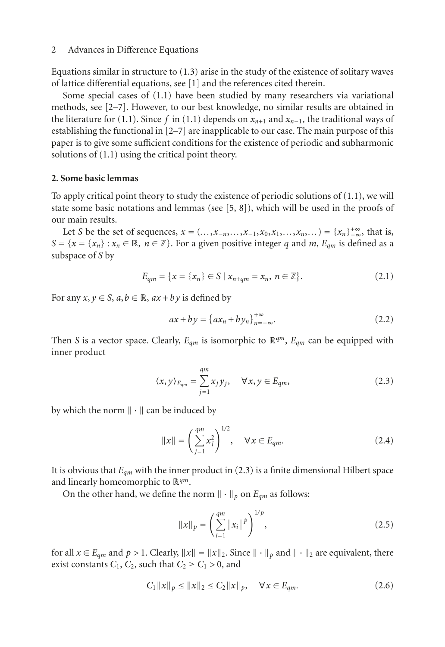Equations similar in structure to [\(1.3\)](#page-0-1) arise in the study of the existence of solitary waves of lattice differential equations, see [\[1](#page-8-1)] and the references cited therein.

Some special cases of [\(1.1\)](#page-0-0) have been studied by many researchers via variational methods, see [\[2](#page-8-2)[–7\]](#page-8-3). However, to our best knowledge, no similar results are obtained in the literature for [\(1.1\)](#page-0-0). Since *f* in (1.1) depends on  $x_{n+1}$  and  $x_{n-1}$ , the traditional ways of establishing the functional in [\[2](#page-8-2)[–7](#page-8-3)] are inapplicable to our case. The main purpose of this paper is to give some sufficient conditions for the existence of periodic and subharmonic solutions of [\(1.1\)](#page-0-0) using the critical point theory.

## **2. Some basic lemmas**

To apply critical point theory to study the existence of periodic solutions of  $(1.1)$ , we will state some basic notations and lemmas (see  $[5, 8]$  $[5, 8]$  $[5, 8]$  $[5, 8]$ ), which will be used in the proofs of our main results.

Let *S* be the set of sequences,  $x = (..., x_{-n},..., x_{-1},x_0,x_1,...,x_n,...) = \{x_n\}_{-\infty}^{+\infty}$ , that is,<br>  $\{x - \{x\} : x \in \mathbb{R} \mid n \in \mathbb{Z}\}$ . For a given positive integer a and  $m \in \mathbb{R}$  is defined as a *S* = { $x = \{x_n\}$  :  $x_n \in \mathbb{R}, n \in \mathbb{Z}$ }. For a given positive integer *q* and *m*,  $E_{qm}$  is defined as a subspace of *S* by

$$
E_{qm} = \{x = \{x_n\} \in S \mid x_{n+qm} = x_n, n \in \mathbb{Z}\}.
$$
 (2.1)

For any  $x, y \in S$ ,  $a, b \in \mathbb{R}$ ,  $ax + by$  is defined by

<span id="page-1-0"></span>
$$
ax + by = \{ax_n + by_n\}_{n = -\infty}^{+\infty}.
$$
 (2.2)

Then *S* is a vector space. Clearly,  $E_{qm}$  is isomorphic to  $\mathbb{R}^{qm}$ ,  $E_{qm}$  can be equipped with inner product

$$
\langle x, y \rangle_{E_{qm}} = \sum_{j=1}^{qm} x_j y_j, \quad \forall x, y \in E_{qm}, \tag{2.3}
$$

by which the norm  $\|\cdot\|$  can be induced by

$$
||x|| = \left(\sum_{j=1}^{qm} x_j^2\right)^{1/2}, \quad \forall x \in E_{qm}.
$$
 (2.4)

It is obvious that *Eqm* with the inner product in [\(2.3\)](#page-1-0) is a finite dimensional Hilbert space and linearly homeomorphic to R*qm*.

On the other hand, we define the norm  $\|\cdot\|_p$  on  $E_{qm}$  as follows:

<span id="page-1-1"></span>
$$
||x||_p = \left(\sum_{i=1}^{qm} |x_i|^p\right)^{1/p},\tag{2.5}
$$

for all  $x \in E_{qm}$  and  $p > 1$ . Clearly,  $||x|| = ||x||_2$ . Since  $|| \cdot ||_p$  and  $|| \cdot ||_2$  are equivalent, there exist constants  $C_1$ ,  $C_2$ , such that  $C_2 \ge C_1 > 0$ , and

$$
C_1 \|x\|_p \le \|x\|_2 \le C_2 \|x\|_p, \quad \forall x \in E_{qm}.
$$
 (2.6)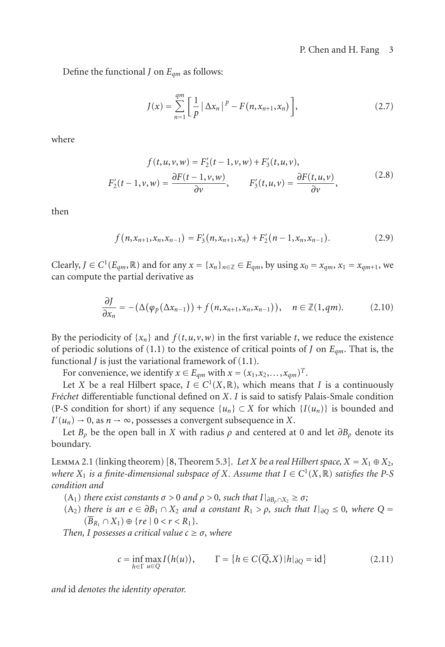Define the functional *<sup>J</sup>* on *Eqm* as follows:

$$
J(x) = \sum_{n=1}^{qm} \left[ \frac{1}{p} \left| \Delta x_n \right|^{p} - F(n, x_{n+1}, x_n) \right],
$$
 (2.7)

where

$$
f(t, u, v, w) = F'_2(t - 1, v, w) + F'_3(t, u, v),
$$
  

$$
F'_2(t - 1, v, w) = \frac{\partial F(t - 1, v, w)}{\partial v}, \qquad F'_3(t, u, v) = \frac{\partial F(t, u, v)}{\partial v},
$$
 (2.8)

then

$$
f(n, x_{n+1}, x_n, x_{n-1}) = F'_3(n, x_{n+1}, x_n) + F'_2(n-1, x_n, x_{n-1}).
$$
 (2.9)

Clearly,  $J \in C^1(E_{qm}, \mathbb{R})$  and for any  $x = \{x_n\}_{n \in \mathbb{Z}} \in E_{qm}$ , by using  $x_0 = x_{qm}, x_1 = x_{qm+1}$ , we can compute the partial derivative as

$$
\frac{\partial J}{\partial x_n} = -(\Delta(\varphi_p(\Delta x_{n-1})) + f(n, x_{n+1}, x_n, x_{n-1})), \quad n \in \mathbb{Z}(1, qm). \tag{2.10}
$$

By the periodicity of  $\{x_n\}$  and  $f(t, u, v, w)$  in the first variable *t*, we reduce the existence of periodic solutions of [\(1.1\)](#page-0-0) to the existence of critical points of *J* on *Eqm*. That is, the functional *J* is just the variational framework of [\(1.1\)](#page-0-0).

For convenience, we identify  $x \in E_{qm}$  with  $x = (x_1, x_2, \ldots, x_{qm})^T$ .

Let *X* be a real Hilbert space,  $I \in C^1(X, \mathbb{R})$ , which means that *I* is a continuously *Fr´echet* differentiable functional defined on *X*. *I* is said to satisfy Palais-Smale condition (P-S condition for short) if any sequence  $\{u_n\} \subset X$  for which  $\{I(u_n)\}$  is bounded and  $I'(u_n) \to 0$ , as  $n \to \infty$ , possesses a convergent subsequence in *X*.<br>Let *B* be the open ball in *X* with radius a and centered at

Let  $B_\rho$  be the open ball in *X* with radius  $\rho$  and centered at 0 and let  $\partial B_\rho$  denote its boundary.

LEMMA 2.1 (linking theorem) [\[8](#page-8-5), Theorem 5.3]. *Let X be a real Hilbert space,*  $X = X_1 \oplus X_2$ , *where*  $X_1$  *is a finite-dimensional subspace of*  $X$ *. Assume that*  $I \in C^1(X, \mathbb{R})$  *satisfies the* P-S *condition and*

 $(A_1)$  *there exist constants*  $σ > 0$  *and*  $ρ > 0$ *, such that*  $I|_{∂B_0 ∩ X_2} ≥ σ$ ;

(A2) *there is an <sup>e</sup>* <sup>∈</sup> *∂B*<sup>1</sup> <sup>∩</sup> *<sup>X</sup>*<sup>2</sup> *and a constant <sup>R</sup>*<sup>1</sup> *> ρ, such that <sup>I</sup>*|*∂Q* <sup>≤</sup> <sup>0</sup>*, where <sup>Q</sup>* <sup>=</sup>  $(B_{R_1} \cap X_1) \oplus \{re \mid 0 < r < R_1\}.$ 

*Then, I possesses a critical value*  $c \geq \sigma$ *, where* 

$$
c = \inf_{h \in \Gamma} \max_{u \in Q} I(h(u)), \qquad \Gamma = \{ h \in C(\overline{Q}, X) | h|_{\partial Q} = id \}
$$
 (2.11)

*and* id *denotes the identity operator.*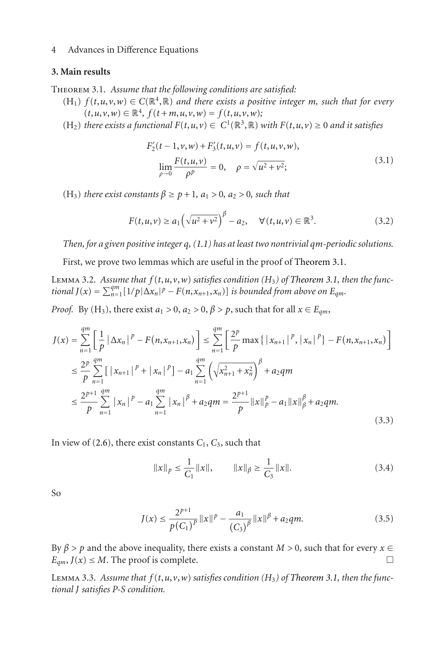#### <span id="page-3-0"></span>**3. Main results**

Theorem 3.1. *Assume that the following conditions are satisfied:*

- $(H_1)$   $f(t, u, v, w) \in C(\mathbb{R}^4, \mathbb{R})$  and there exists a positive integer *m*, such that for every  $(t, u, v, w) \in \mathbb{R}^4$ ,  $f(t + m, u, v, w) = f(t, u, v, w);$
- (H2) *there exists a functional F*(*t*,*u*,*v*) <sup>∈</sup> *C*1(R3,R) *with F*(*t*,*u*,*v*) <sup>≥</sup> <sup>0</sup> *and it satisfies*

$$
F'_{2}(t-1,\nu,w) + F'_{3}(t,u,\nu) = f(t,u,\nu,w),
$$
  
\n
$$
\lim_{\rho \to 0} \frac{F(t,u,\nu)}{\rho^p} = 0, \quad \rho = \sqrt{u^2 + \nu^2};
$$
\n(3.1)

(H<sub>3</sub>) *there exist constants*  $\beta \ge p+1$ ,  $a_1 > 0$ ,  $a_2 > 0$ , *such that* 

$$
F(t, u, v) \ge a_1 \left(\sqrt{u^2 + v^2}\right)^{\beta} - a_2, \quad \forall (t, u, v) \in \mathbb{R}^3.
$$
 (3.2)

*Then, for a given positive integer q, [\(1.1\)](#page-0-0) has at least two nontrivial qm-periodic solutions.*

First, we prove two lemmas which are useful in the proof of [Theorem 3.1.](#page-3-0)

<span id="page-3-1"></span>LEMMA 3.2. Assume that  $f(t, u, v, w)$  satisfies condition  $(H_3)$  of [Theorem 3.1,](#page-3-0) then the func*tional*  $J(x) = \sum_{n=1}^{qm} [1/p|\Delta x_n|^p - F(n, x_{n+1}, x_n)]$  *is bounded from above on*  $E_{qm}$ .

*Proof.* By (H<sub>3</sub>), there exist  $a_1 > 0$ ,  $a_2 > 0$ ,  $\beta > p$ , such that for all  $x \in E_{qm}$ ,

$$
J(x) = \sum_{n=1}^{qm} \left[ \frac{1}{p} \left| \Delta x_n \right|^{p} - F(n, x_{n+1}, x_n) \right] \le \sum_{n=1}^{qm} \left[ \frac{2^p}{p} \max \left\{ \left| x_{n+1} \right|^{p}, \left| x_n \right|^{p} \right\} - F(n, x_{n+1}, x_n) \right]
$$
  

$$
\le \frac{2^p}{p} \sum_{n=1}^{qm} \left[ \left| x_{n+1} \right|^{p} + \left| x_n \right|^{p} \right] - a_1 \sum_{n=1}^{qm} \left( \sqrt{x_{n+1}^2 + x_n^2} \right)^{\beta} + a_2 q m
$$
  

$$
\le \frac{2^{p+1}}{p} \sum_{n=1}^{qm} \left| x_n \right|^{p} - a_1 \sum_{n=1}^{qm} \left| x_n \right|^{p} + a_2 q m = \frac{2^{p+1}}{p} ||x||_p^{p} - a_1 ||x||_p^{\beta} + a_2 q m. \tag{3.3}
$$

In view of  $(2.6)$ , there exist constants  $C_1$ ,  $C_3$ , such that

$$
||x||_p \le \frac{1}{C_1} ||x||, \qquad ||x||_p \ge \frac{1}{C_3} ||x||. \tag{3.4}
$$

So

$$
J(x) \le \frac{2^{p+1}}{p(C_1)^p} ||x||^p - \frac{a_1}{(C_3)^p} ||x||^{\beta} + a_2 qm.
$$
 (3.5)

By  $\beta > p$  and the above inequality, there exists a constant *M* > 0, such that for every *x* ∈  $F$  —  $I(x) < M$ . The proof is complete  $E_{am}$ ,  $J(x) \leq M$ . The proof is complete.

<span id="page-3-2"></span>LEMMA 3.3. Assume that  $f(t, u, v, w)$  satisfies condition (H<sub>3</sub>) of [Theorem 3.1,](#page-3-0) then the func*tional J satisfies P-S condition.*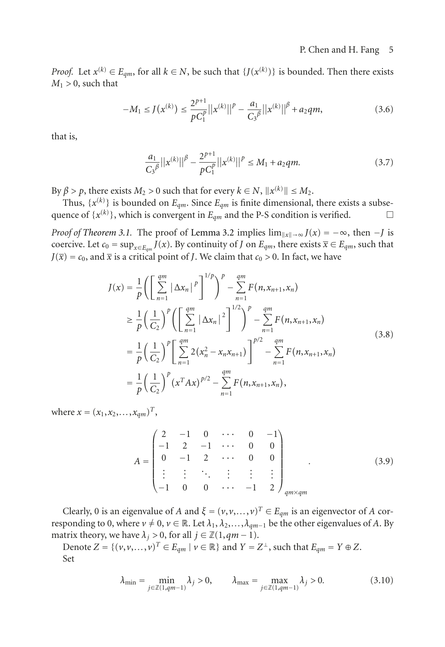*Proof.* Let  $x^{(k)} \in E_{qm}$ , for all  $k \in N$ , be such that  $\{J(x^{(k)})\}$  is bounded. Then there exists  $M_1 > 0$  such that  $M_1 > 0$ , such that

$$
-M_1 \le J(x^{(k)}) \le \frac{2^{p+1}}{pC_1^p} ||x^{(k)}||^p - \frac{a_1}{C_3^p} ||x^{(k)}||^{\beta} + a_2 qm,
$$
\n(3.6)

that is,

$$
\frac{a_1}{C_3 \beta} ||x^{(k)}||^{\beta} - \frac{2^{p+1}}{p C_1^p} ||x^{(k)}||^p \le M_1 + a_2 q m.
$$
 (3.7)

By  $\beta > p$ , there exists  $M_2 > 0$  such that for every  $k \in N$ ,  $||x^{(k)}||$ .<br>Thus  $\{x^{(k)}\}$  is bounded on *F* Since *F* is finite dimen  $≤ M_2.$ <br> $sinal$ 

Thus,  $\{x^{(k)}\}$  is bounded on  $E_{qm}$ . Since  $E_{qm}$  is finite dimensional, there exists a subse-<br>ence of  $\{x^{(k)}\}$ , which is convergent in  $E_{qn}$  and the P-S condition is verified quence of  $\{x^{(k)}\}$ , which is convergent in  $E_{qm}$  and the P-S condition is verified.  $\Box$  $\Box$ 

*Proof of [Theorem 3.1.](#page-3-0)* The proof of [Lemma 3.2](#page-3-1) implies  $\lim_{\|x\| \to \infty} J(x) = -\infty$ , then  $-J$  is coercive. Let  $c_0 = \sup_{x \in J} J(x)$ . By continuity of *L* on *F* there exists  $\overline{x} \in F$  such that *x*coercive. Let  $c_0 = \sup_{x \in E_{qm}} f(x)$ . By continuity of *J* on  $E_{qm}$ , there exists  $\overline{x} \in E_{qm}$ , such that  $I(\overline{x}) = c_0$  and  $\overline{x}$  is a critical point of *J*. We claim that  $c_0 > 0$ . In fact, we have  $J(\overline{x}) = c_0$ , and  $\overline{x}$  is a critical point of *J*. We claim that  $c_0 > 0$ . In fact, we have

$$
J(x) = \frac{1}{p} \left( \left[ \sum_{n=1}^{qm} |\Delta x_n|^p \right]^{1/p} \right)^p - \sum_{n=1}^{qm} F(n, x_{n+1}, x_n)
$$
  
\n
$$
\geq \frac{1}{p} \left( \frac{1}{C_2} \right)^p \left( \left[ \sum_{n=1}^{qm} |\Delta x_n|^2 \right]^{1/2} \right)^p - \sum_{n=1}^{qm} F(n, x_{n+1}, x_n)
$$
  
\n
$$
= \frac{1}{p} \left( \frac{1}{C_2} \right)^p \left[ \sum_{n=1}^{qm} 2(x_n^2 - x_n x_{n+1}) \right]^{p/2} - \sum_{n=1}^{qm} F(n, x_{n+1}, x_n)
$$
  
\n
$$
= \frac{1}{p} \left( \frac{1}{C_2} \right)^p (x^T A x)^{p/2} - \sum_{n=1}^{qm} F(n, x_{n+1}, x_n),
$$
\n(3.8)

where  $x = (x_1, x_2, \ldots, x_{am})^T$ ,

$$
A = \begin{pmatrix} 2 & -1 & 0 & \cdots & 0 & -1 \\ -1 & 2 & -1 & \cdots & 0 & 0 \\ 0 & -1 & 2 & \cdots & 0 & 0 \\ \vdots & \vdots & \ddots & \vdots & \vdots & \vdots \\ -1 & 0 & 0 & \cdots & -1 & 2 \end{pmatrix}_{q_m \times q_m}
$$
 (3.9)

Clearly, 0 is an eigenvalue of *A* and  $\xi = (v, v, \ldots, v)^T \in E_{am}$  is an eigenvector of *A* corresponding to 0, where  $v \neq 0$ ,  $v \in \mathbb{R}$ . Let  $\lambda_1, \lambda_2, \ldots, \lambda_{qm-1}$  be the other eigenvalues of A. By matrix theory, we have  $\lambda_j > 0$ , for all  $j \in \mathbb{Z}(1, qm - 1)$ .

Denote  $Z = \{ (v, v, \ldots, v)^T \in E_{qm} \mid v \in \mathbb{R} \}$  and  $Y = Z^{\perp}$ , such that  $E_{qm} = Y \oplus Z$ . Set

$$
\lambda_{\min} = \min_{j \in \mathbb{Z}(1,qm-1)} \lambda_j > 0, \qquad \lambda_{\max} = \max_{j \in \mathbb{Z}(1,qm-1)} \lambda_j > 0.
$$
 (3.10)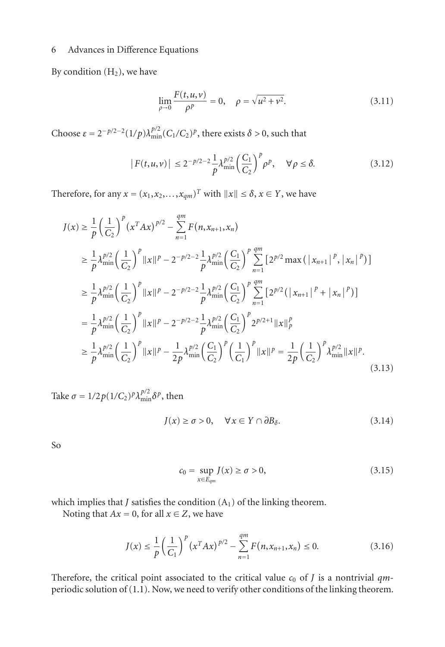By condition  $(H<sub>2</sub>)$ , we have

$$
\lim_{\rho \to 0} \frac{F(t, u, v)}{\rho^p} = 0, \quad \rho = \sqrt{u^2 + v^2}.
$$
\n(3.11)

Choose  $\varepsilon = 2^{-p/2-2}(1/p)\lambda_{\min}^{p/2}(C_1/C_2)^p$ , there exists  $\delta > 0$ , such that

$$
|F(t, u, v)| \le 2^{-p/2 - 2} \frac{1}{p} \lambda_{\min}^{p/2} \left(\frac{C_1}{C_2}\right)^p \rho^p, \quad \forall \rho \le \delta. \tag{3.12}
$$

Therefore, for any  $x = (x_1, x_2, \ldots, x_{qm})^T$  with  $||x|| \le \delta, x \in Y$ , we have

$$
J(x) \geq \frac{1}{p} \left(\frac{1}{C_2}\right)^p (x^T A x)^{p/2} - \sum_{n=1}^{qm} F(n, x_{n+1}, x_n)
$$
  
\n
$$
\geq \frac{1}{p} \lambda_{\min}^{p/2} \left(\frac{1}{C_2}\right)^p ||x||^p - 2^{-p/2 - 2} \frac{1}{p} \lambda_{\min}^{p/2} \left(\frac{C_1}{C_2}\right)^p \sum_{n=1}^{qm} \left[2^{p/2} \max\left(|x_{n+1}|^p, |x_n|^p\right)\right]
$$
  
\n
$$
\geq \frac{1}{p} \lambda_{\min}^{p/2} \left(\frac{1}{C_2}\right)^p ||x||^p - 2^{-p/2 - 2} \frac{1}{p} \lambda_{\min}^{p/2} \left(\frac{C_1}{C_2}\right)^p \sum_{n=1}^{qm} \left[2^{p/2} (|x_{n+1}|^p + |x_n|^p)\right]
$$
  
\n
$$
= \frac{1}{p} \lambda_{\min}^{p/2} \left(\frac{1}{C_2}\right)^p ||x||^p - 2^{-p/2 - 2} \frac{1}{p} \lambda_{\min}^{p/2} \left(\frac{C_1}{C_2}\right)^p 2^{p/2 + 1} ||x||_p^p
$$
  
\n
$$
\geq \frac{1}{p} \lambda_{\min}^{p/2} \left(\frac{1}{C_2}\right)^p ||x||^p - \frac{1}{2p} \lambda_{\min}^{p/2} \left(\frac{C_1}{C_2}\right)^p \left(\frac{1}{C_1}\right)^p ||x||^p = \frac{1}{2p} \left(\frac{1}{C_2}\right)^p \lambda_{\min}^{p/2} ||x||^p.
$$
\n(3.13)

Take  $\sigma = 1/2p(1/C_2)^p\lambda_{\min}^{p/2}\delta^p$ , then

$$
J(x) \ge \sigma > 0, \quad \forall x \in Y \cap \partial B_{\delta}.
$$
 (3.14)

So

$$
c_0 = \sup_{x \in E_{qm}} J(x) \ge \sigma > 0,
$$
\n(3.15)

which implies that  $J$  satisfies the condition  $(A_1)$  of the linking theorem.

Noting that  $Ax = 0$ , for all  $x \in Z$ , we have

$$
J(x) \le \frac{1}{p} \left(\frac{1}{C_1}\right)^p \left(x^T A x\right)^{p/2} - \sum_{n=1}^{qm} F(n, x_{n+1}, x_n) \le 0. \tag{3.16}
$$

Therefore, the critical point associated to the critical value  $c_0$  of *J* is a nontrivial  $qm$ periodic solution of [\(1.1\)](#page-0-0). Now, we need to verify other conditions of the linking theorem.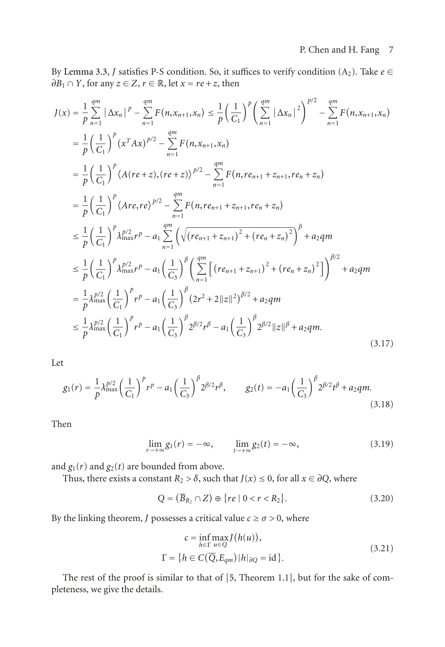By [Lemma 3.3,](#page-3-2) *J* satisfies P-S condition. So, it suffices to verify condition  $(A_2)$ . Take  $e \in$  $\partial B_1 \cap Y$ , for any  $z \in Z$ ,  $r \in \mathbb{R}$ , let  $x = re + z$ , then

$$
J(x) = \frac{1}{p} \sum_{n=1}^{qm} |\Delta x_n|^p - \sum_{n=1}^{qm} F(n, x_{n+1}, x_n) \le \frac{1}{p} \left(\frac{1}{C_1}\right)^p \left(\sum_{n=1}^{qm} |\Delta x_n|^2\right)^{p/2} - \sum_{n=1}^{qm} F(n, x_{n+1}, x_n)
$$
  
\n
$$
= \frac{1}{p} \left(\frac{1}{C_1}\right)^p (x^T A x)^{p/2} - \sum_{n=1}^{qm} F(n, x_{n+1}, x_n)
$$
  
\n
$$
= \frac{1}{p} \left(\frac{1}{C_1}\right)^p \langle A(re+z), (re+z)\rangle^{p/2} - \sum_{n=1}^{qm} F(n, re_{n+1} + z_{n+1}, re_n + z_n)
$$
  
\n
$$
= \frac{1}{p} \left(\frac{1}{C_1}\right)^p \langle Are, re \rangle^{p/2} - \sum_{n=1}^{qm} F(n, re_{n+1} + z_{n+1}, re_n + z_n)
$$
  
\n
$$
\le \frac{1}{p} \left(\frac{1}{C_1}\right)^p \lambda_{\max}^{p/2} r^p - a_1 \sum_{n=1}^{qm} \left(\sqrt{(re_{n+1} + z_{n+1})^2 + (re_n + z_n)^2}\right)^p + a_2 q m
$$
  
\n
$$
\le \frac{1}{p} \left(\frac{1}{C_1}\right)^p \lambda_{\max}^{p/2} r^p - a_1 \left(\frac{1}{C_3}\right)^p \left(\sum_{n=1}^{qm} \left[ (re_{n+1} + z_{n+1})^2 + (re_n + z_n)^2 \right] \right)^{p/2} + a_2 q m
$$
  
\n
$$
= \frac{1}{p} \lambda_{\max}^{p/2} \left(\frac{1}{C_1}\right)^p r^p - a_1 \left(\frac{1}{C_3}\right)^p (2r^2 + 2||z||^2)^{p/2} + a_2 q m
$$
  
\n
$$
\le \frac{1}{p} \lambda_{\max}^{p/2} \left(\frac{1}{C_1}\right)^p r^p - a_1 \left(\frac{1}{C_3}\right)^p 2^{p/2} r^p - a_1 \left(\frac{1}{C_3}\right)^p
$$

Let

$$
g_1(r) = \frac{1}{p} \lambda_{\text{max}}^{p/2} \left(\frac{1}{C_1}\right)^p r^p - a_1 \left(\frac{1}{C_3}\right)^p 2^{p/2} r^{\beta}, \qquad g_2(t) = -a_1 \left(\frac{1}{C_3}\right)^p 2^{p/2} t^{\beta} + a_2 q m. \tag{3.18}
$$

Then

$$
\lim_{r \to +\infty} g_1(r) = -\infty, \qquad \lim_{t \to +\infty} g_2(t) = -\infty,
$$
\n(3.19)

and  $g_1(r)$  and  $g_2(t)$  are bounded from above.

Thus, there exists a constant  $R_2 > \delta$ , such that  $J(x) \leq 0$ , for all  $x \in \partial Q$ , where

$$
Q = (\overline{B}_{R_2} \cap Z) \oplus \{ re \mid 0 < r < R_2 \}.
$$
 (3.20)

By the linking theorem, *J* possesses a critical value  $c \ge \sigma > 0$ , where

$$
c = \inf_{h \in \Gamma} \max_{u \in Q} J(h(u)),
$$
  
\n
$$
\Gamma = \{ h \in C(\overline{Q}, E_{qm}) | h|_{\partial Q} = id \}.
$$
\n(3.21)

The rest of the proof is similar to that of [\[5](#page-8-4), Theorem 1.1], but for the sake of completeness, we give the details.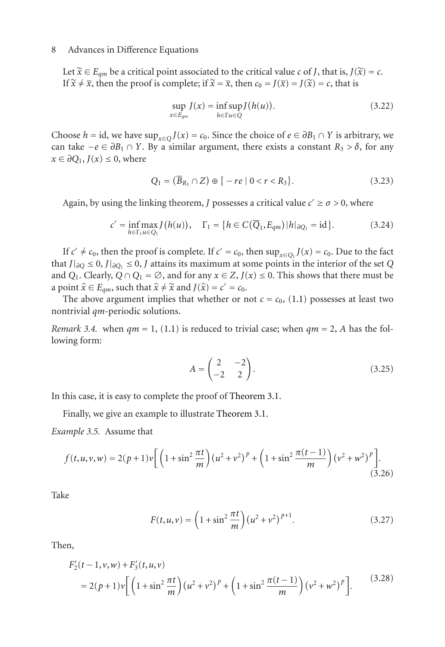Let  $\tilde{x} \in E_{qm}$  be a critical point associated to the critical value *c* of *J*, that is,  $J(\tilde{x}) = c$ . If  $\tilde{x} \neq \overline{x}$ , then the proof is complete; if  $\tilde{x} = \overline{x}$ , then  $c_0 = J(\overline{x}) = J(\tilde{x}) = c$ , that is

$$
\sup_{x \in E_{qm}} J(x) = \inf_{h \in \Gamma} \sup_{u \in Q} J(h(u)). \tag{3.22}
$$

Choose *h* = id, we have sup<sub>*x*∈*Q*</sub> *J*(*x*) = *c*<sub>0</sub>. Since the choice of *e* ∈  $\partial B_1 \cap Y$  is arbitrary, we can take  $-e ∈ ∂B_1 ∩ Y$ . By a similar argument, there exists a constant  $R_3 > ∂$ , for any  $x \in \partial Q_1, J(x) \leq 0$ , where

$$
Q_1 = (\overline{B}_{R_3} \cap Z) \oplus \{-re \mid 0 < r < R_3\}. \tag{3.23}
$$

Again, by using the linking theorem, *J* possesses a critical value  $c' \ge \sigma > 0$ , where

$$
c' = \inf_{h \in \Gamma_1 u \in Q_1} J(h(u)), \quad \Gamma_1 = \{ h \in C(\overline{Q}_1, E_{qm}) | h|_{\partial Q_1} = id \}.
$$
 (3.24)

If  $c' \neq c_0$ , then the proof is complete. If  $c' = c_0$ , then  $\sup_{x \in O_1} J(x) = c_0$ . Due to the fact that *J*| $∂$  $Q$  ≤ 0, *J*| $∂$  $Q$ <sub>1</sub> ≤ 0, *J* attains its maximum at some points in the interior of the set *Q* and *Q*<sub>1</sub>. Clearly, *Q* ∩ *Q*<sub>1</sub> =  $\emptyset$ , and for any *x* ∈ *Z*, *J*(*x*) ≤ 0. This shows that there must be a point  $\hat{x} \in E_{qm}$ , such that  $\hat{x} \neq \hat{x}$  and  $J(\hat{x}) = c' = c_0$ .

The above argument implies that whether or not  $c = c_0$ , [\(1.1\)](#page-0-0) possesses at least two nontrivial *qm*-periodic solutions.

*Remark 3.4.* when  $qm = 1$ , [\(1.1\)](#page-0-0) is reduced to trivial case; when  $qm = 2$ , A has the following form:

$$
A = \begin{pmatrix} 2 & -2 \\ -2 & 2 \end{pmatrix}.
$$
 (3.25)

In this case, it is easy to complete the proof of [Theorem 3.1.](#page-3-0)

Finally, we give an example to illustrate [Theorem 3.1.](#page-3-0)

*Example 3.5.* Assume that

$$
f(t, u, v, w) = 2(p+1)v \left[ \left( 1 + \sin^2 \frac{\pi t}{m} \right) (u^2 + v^2)^p + \left( 1 + \sin^2 \frac{\pi (t-1)}{m} \right) (v^2 + w^2)^p \right].
$$
\n(3.26)

Take

$$
F(t, u, v) = \left(1 + \sin^2 \frac{\pi t}{m}\right) \left(u^2 + v^2\right)^{p+1}.
$$
 (3.27)

Then,

$$
F'_{2}(t-1,\nu,w) + F'_{3}(t,u,\nu)
$$
  
= 2(p+1)\nu \left[ \left(1 + \sin^{2}\frac{\pi t}{m}\right) (u^{2} + \nu^{2})^{p} + \left(1 + \sin^{2}\frac{\pi(t-1)}{m}\right) (\nu^{2} + \nu^{2})^{p} \right]. (3.28)